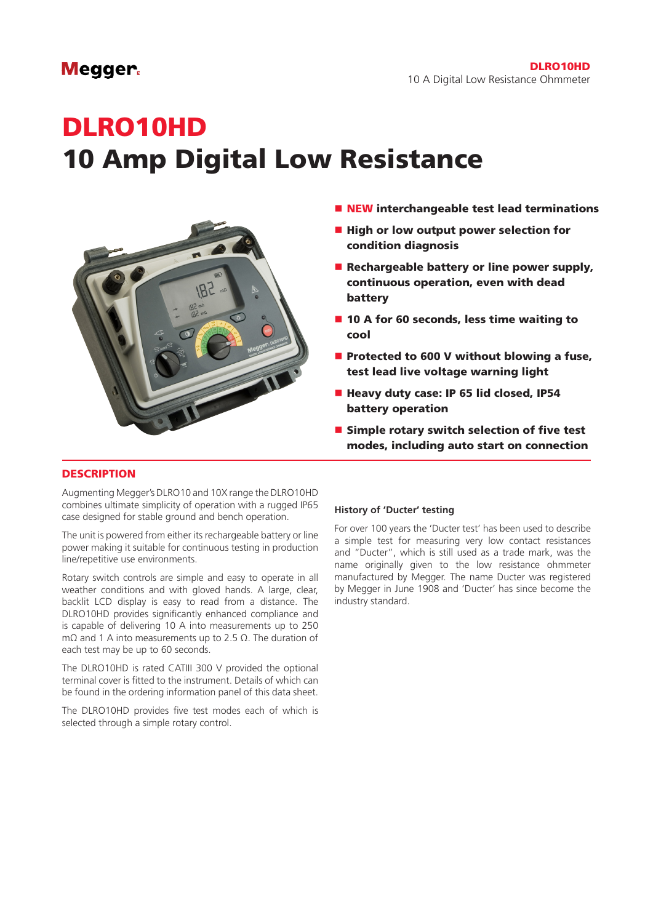# **Megger**

# DLRO10HD 10 Amp Digital Low Resistance



- $\blacksquare$  NEW interchangeable test lead terminations
- High or low output power selection for condition diagnosis
- Rechargeable battery or line power supply, continuous operation, even with dead battery
- $\blacksquare$  10 A for 60 seconds, less time waiting to cool
- $\blacksquare$  Protected to 600 V without blowing a fuse, test lead live voltage warning light
- Heavy duty case: IP 65 lid closed, IP54 battery operation
- $\blacksquare$  Simple rotary switch selection of five test modes, including auto start on connection

## **DESCRIPTION**

Augmenting Megger's DLRO10 and 10X range the DLRO10HD combines ultimate simplicity of operation with a rugged IP65 case designed for stable ground and bench operation.

The unit is powered from either its rechargeable battery or line power making it suitable for continuous testing in production line/repetitive use environments.

Rotary switch controls are simple and easy to operate in all weather conditions and with gloved hands. A large, clear, backlit LCD display is easy to read from a distance. The DLRO10HD provides significantly enhanced compliance and is capable of delivering 10 A into measurements up to 250 mΩ and 1 A into measurements up to 2.5 Ω. The duration of each test may be up to 60 seconds.

The DLRO10HD is rated CATIII 300 V provided the optional terminal cover is fitted to the instrument. Details of which can be found in the ordering information panel of this data sheet.

The DLRO10HD provides five test modes each of which is selected through a simple rotary control.

#### **History of 'Ducter' testing**

For over 100 years the 'Ducter test' has been used to describe a simple test for measuring very low contact resistances and "Ducter", which is still used as a trade mark, was the name originally given to the low resistance ohmmeter manufactured by Megger. The name Ducter was registered by Megger in June 1908 and 'Ducter' has since become the industry standard.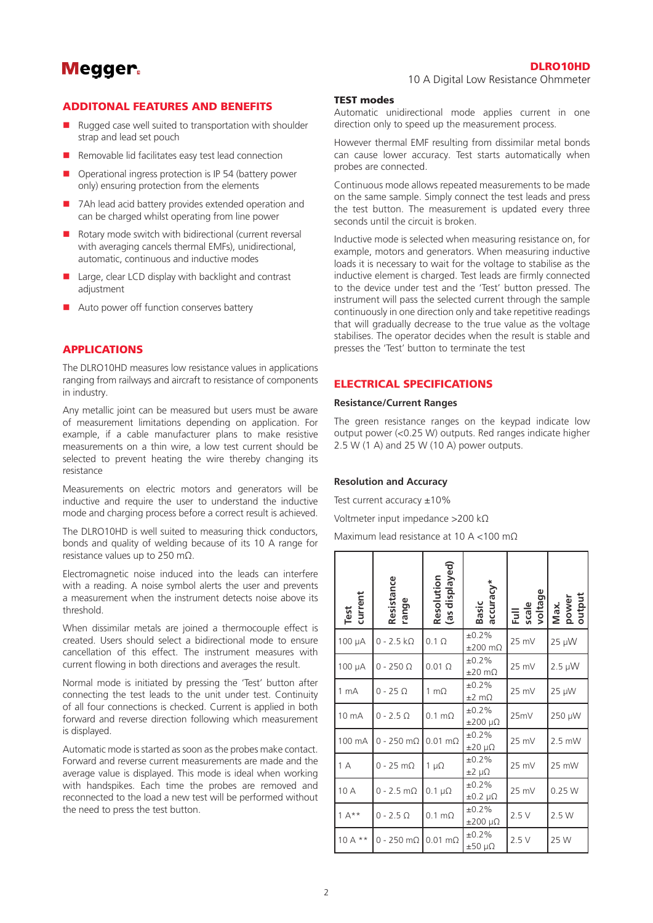# **Megger**

## DLRO10HD

10 A Digital Low Resistance Ohmmeter

#### ADDITONAL FEATURES AND BENEFITS

- Rugged case well suited to transportation with shoulder strap and lead set pouch
- $\blacksquare$  Removable lid facilitates easy test lead connection
- Operational ingress protection is IP 54 (battery power only) ensuring protection from the elements
- 7Ah lead acid battery provides extended operation and can be charged whilst operating from line power
- $\blacksquare$  Rotary mode switch with bidirectional (current reversal with averaging cancels thermal EMFs), unidirectional, automatic, continuous and inductive modes
- $\blacksquare$  Large, clear LCD display with backlight and contrast adjustment
- $\blacksquare$  Auto power off function conserves battery

# **APPLICATIONS**

The DLRO10HD measures low resistance values in applications ranging from railways and aircraft to resistance of components in industry.

Any metallic joint can be measured but users must be aware of measurement limitations depending on application. For example, if a cable manufacturer plans to make resistive measurements on a thin wire, a low test current should be selected to prevent heating the wire thereby changing its resistance

Measurements on electric motors and generators will be inductive and require the user to understand the inductive mode and charging process before a correct result is achieved.

The DLRO10HD is well suited to measuring thick conductors, bonds and quality of welding because of its 10 A range for resistance values up to 250 mΩ.

Electromagnetic noise induced into the leads can interfere with a reading. A noise symbol alerts the user and prevents a measurement when the instrument detects noise above its threshold.

When dissimilar metals are joined a thermocouple effect is created. Users should select a bidirectional mode to ensure cancellation of this effect. The instrument measures with current flowing in both directions and averages the result.

Normal mode is initiated by pressing the 'Test' button after connecting the test leads to the unit under test. Continuity of all four connections is checked. Current is applied in both forward and reverse direction following which measurement is displayed.

Automatic mode is started as soon as the probes make contact. Forward and reverse current measurements are made and the average value is displayed. This mode is ideal when working with handspikes. Each time the probes are removed and reconnected to the load a new test will be performed without the need to press the test button.

#### TEST modes

Automatic unidirectional mode applies current in one direction only to speed up the measurement process.

However thermal EMF resulting from dissimilar metal bonds can cause lower accuracy. Test starts automatically when probes are connected.

Continuous mode allows repeated measurements to be made on the same sample. Simply connect the test leads and press the test button. The measurement is updated every three seconds until the circuit is broken.

Inductive mode is selected when measuring resistance on, for example, motors and generators. When measuring inductive loads it is necessary to wait for the voltage to stabilise as the inductive element is charged. Test leads are firmly connected to the device under test and the 'Test' button pressed. The instrument will pass the selected current through the sample continuously in one direction only and take repetitive readings that will gradually decrease to the true value as the voltage stabilises. The operator decides when the result is stable and presses the 'Test' button to terminate the test

#### ELECTRICAL SPECIFICATIONS

#### **Resistance/Current Ranges**

The green resistance ranges on the keypad indicate low output power (<0.25 W) outputs. Red ranges indicate higher 2.5 W (1 A) and 25 W (10 A) power outputs.

#### **Resolution and Accuracy**

Test current accuracy  $\pm 10\%$ 

Voltmeter input impedance >200 kΩ

Maximum lead resistance at 10 A <100 mΩ

| Test<br>current | Resistance<br>range  | Resolution<br>(as displayed) | accuracy*<br>Basic                | Full<br>scale<br>voltage | power<br>output<br>Max. |
|-----------------|----------------------|------------------------------|-----------------------------------|--------------------------|-------------------------|
| 100 µA          | $0 - 2.5 k\Omega$    | $0.1 \Omega$                 | ±0.2%<br>$±200$ m $\Omega$        | 25 mV                    | 25 µW                   |
| 100 µA          | $0 - 250 \Omega$     | $0.01 \Omega$                | ±0.2%<br>$\pm 20 \text{ m}\Omega$ | 25 mV                    | $2.5 \mu W$             |
| 1 <sub>mA</sub> | $0 - 25 \Omega$      | 1 m $\Omega$                 | ±0.2%<br>$\pm 2$ m $\Omega$       | 25 mV                    | $25 \mu W$              |
| 10 mA           | $0 - 2.5 \Omega$     | $0.1 \text{ m}\Omega$        | ±0.2%<br>$±200 \mu\Omega$         | 25mV                     | 250 µW                  |
| 100 mA          | $0 - 250$ m $\Omega$ | $0.01 \text{ m}\Omega$       | ±0.2%<br>$±20 \mu\Omega$          | 25 mV                    | $2.5$ mW                |
| 1 A             | $0 - 25$ m $\Omega$  | 1 $\mu\Omega$                | ±0.2%<br>$\pm 2 \mu \Omega$       | 25 mV                    | 25 mW                   |
| 10 A            | $0 - 2.5$ m $\Omega$ | $0.1 \mu\Omega$              | ±0.2%<br>$\pm 0.2 \mu\Omega$      | 25 mV                    | 0.25W                   |
| $1 A^{**}$      | $0 - 2.5 \Omega$     | $0.1 \text{ m}\Omega$        | ±0.2%<br>$\pm 200 \mu\Omega$      | 2.5V                     | 2.5 W                   |
| $10A**$         | $0 - 250$ m $\Omega$ | $0.01 \text{ m}\Omega$       | ±0.2%<br>$±50 \mu\Omega$          | 2.5V                     | 25 W                    |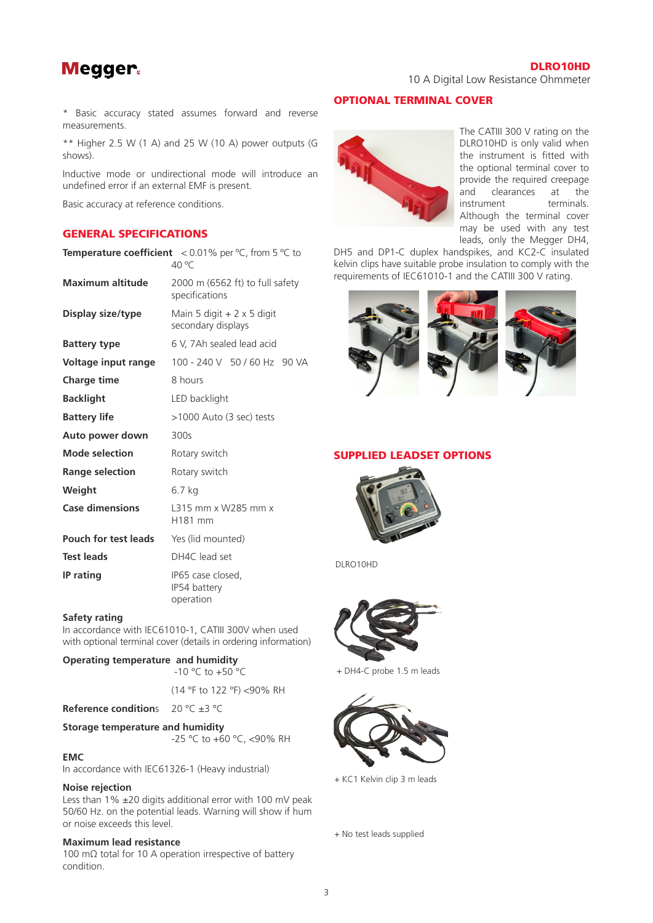# **Megger**

DLRO10HD

10 A Digital Low Resistance Ohmmeter

\* Basic accuracy stated assumes forward and reverse measurements.

\*\* Higher 2.5 W (1 A) and 25 W (10 A) power outputs (G shows).

Inductive mode or undirectional mode will introduce an undefined error if an external EMF is present.

**Temperature coefficient** < 0.01% per ºC, from 5 ºC to

Basic accuracy at reference conditions.

## GENERAL SPECIFICATIONS

|                             | <b>Temperature coefficient</b> $\leq 0.01\%$ per °C, from 5 °C to<br>40 °C |  |  |
|-----------------------------|----------------------------------------------------------------------------|--|--|
| <b>Maximum altitude</b>     | 2000 m $(6562 \text{ ft})$ to full safety<br>specifications                |  |  |
| Display size/type           | Main 5 digit + 2 x 5 digit<br>secondary displays                           |  |  |
| <b>Battery type</b>         | 6 V, 7Ah sealed lead acid                                                  |  |  |
| Voltage input range         | 100 - 240 V 50 / 60 Hz 90 VA                                               |  |  |
| <b>Charge time</b>          | 8 hours                                                                    |  |  |
| <b>Backlight</b>            | LED backlight                                                              |  |  |
| <b>Battery life</b>         | >1000 Auto (3 sec) tests                                                   |  |  |
| Auto power down             | 300s                                                                       |  |  |
| <b>Mode selection</b>       | Rotary switch                                                              |  |  |
| <b>Range selection</b>      | Rotary switch                                                              |  |  |
| Weight                      | 6.7 kg                                                                     |  |  |
| <b>Case dimensions</b>      | L315 mm x W285 mm x<br>H181 mm                                             |  |  |
| <b>Pouch for test leads</b> | Yes (lid mounted)                                                          |  |  |
| <b>Test leads</b>           | DH4C lead set                                                              |  |  |
| IP rating                   | IP65 case closed,<br>IP54 battery<br>operation                             |  |  |

#### **Safety rating**

In accordance with IEC61010-1, CATIII 300V when used with optional terminal cover (details in ordering information)

#### **Operating temperature and humidity**

 $-10$  °C to  $+50$  °C (14 °F to 122 °F) <90% RH

**Reference condition**s 20 °C ±3 °C

**Storage temperature and humidity**

-25 °C to +60 °C, <90% RH

#### **EMC**

In accordance with IEC61326-1 (Heavy industrial)

#### **Noise rejection**

Less than 1% ±20 digits additional error with 100 mV peak 50/60 Hz. on the potential leads. Warning will show if hum or noise exceeds this level.

#### **Maximum lead resistance**

100 mΩ total for 10 A operation irrespective of battery condition.

# OPTIONAL TERMINAL COVER



The CATIII 300 V rating on the DLRO10HD is only valid when the instrument is fitted with the optional terminal cover to provide the required creepage and clearances at the instrument terminals. Although the terminal cover may be used with any test leads, only the Megger DH4,

DH5 and DP1-C duplex handspikes, and KC2-C insulated kelvin clips have suitable probe insulation to comply with the requirements of IEC61010-1 and the CATIII 300 V rating.



## SUPPLIED LEADSET OPTIONS



DLRO10HD



+ DH4-C probe 1.5 m leads



+ KC1 Kelvin clip 3 m leads

+ No test leads supplied